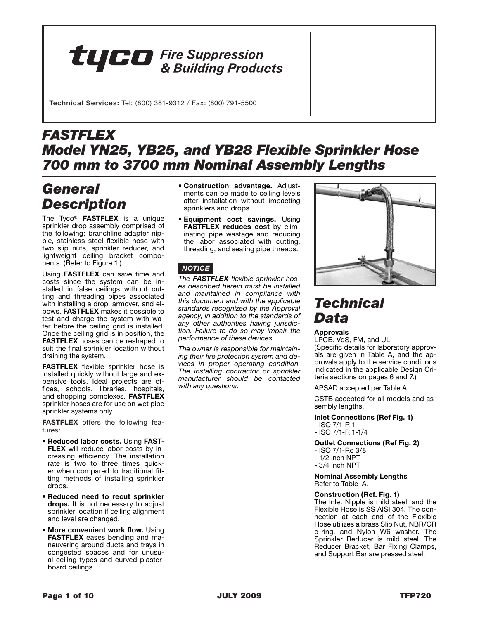# **TUCO** Fire Suppression

Technical Services: Tel: (800) 381-9312 / Fax: (800) 791-5500

# *FASTFLEX Model YN25, YB25, and YB28 Flexible Sprinkler Hose 700 mm to 3700 mm Nominal Assembly Lengths*

# *General Description*

The Tyco® **FASTFLEX** is a unique sprinkler drop assembly comprised of the following: branchline adapter nipple, stainless steel flexible hose with two slip nuts, sprinkler reducer, and lightweight ceiling bracket components. (Refer to Figure 1.)

Using **FASTFLEX** can save time and costs since the system can be installed in false ceilings without cutting and threading pipes associated with installing a drop, armover, and elbows. **FASTFLEX** makes it possible to test and charge the system with water before the ceiling grid is installed. Once the ceiling grid is in position, the **FASTFLEX** hoses can be reshaped to suit the final sprinkler location without draining the system.

**FASTFLEX** flexible sprinkler hose is installed quickly without large and expensive tools. Ideal projects are offices, schools, libraries, hospitals, and shopping complexes. **FASTFLEX**  sprinkler hoses are for use on wet pipe sprinkler systems only.

**FASTFLEX** offers the following features:

- **Reduced labor costs.** Using **FAST-FLEX** will reduce labor costs by increasing efficiency. The installation rate is two to three times quicker when compared to traditional fitting methods of installing sprinkler drops.
- **Reduced need to recut sprinkler drops.** It is not necessary to adjust sprinkler location if ceiling alignment and level are changed.
- **More convenient work flow.** Using **FASTFLEX** eases bending and maneuvering around ducts and trays in congested spaces and for unusual ceiling types and curved plasterboard ceilings.
- **Construction advantage.** Adjustments can be made to ceiling levels after installation without impacting sprinklers and drops.
- **Equipment cost savings.** Using **FASTFLEX reduces cost** by eliminating pipe wastage and reducing the labor associated with cutting, threading, and sealing pipe threads.

# *notice*

*The FASTFLEX flexible sprinkler hoses described herein must be installed and maintained in compliance with this document and with the applicable standards recognized by the Approval agency, in addition to the standards of any other authorities having jurisdiction. Failure to do so may impair the performance of these devices.*

*The owner is responsible for maintaining their fire protection system and devices in proper operating condition. The installing contractor or sprinkler manufacturer should be contacted with any questions.*



# *Technical Data*

## **Approvals**

LPCB, VdS, FM, and UL (Specific details for laboratory approvals are given in Table A, and the approvals apply to the service conditions indicated in the applicable Design Criteria sections on pages 6 and 7.)

APSAD accepted per Table A.

CSTB accepted for all models and assembly lengths.

### **Inlet Connections (Ref Fig. 1)**

- ISO 7/1-R 1
- ISO 7/1-R 1-1/4

### **Outlet Connections (Ref Fig. 2)**

- ISO 7/1-Rc 3/8
- 1/2 inch NPT
- 3/4 inch NPT

**Nominal Assembly Lengths**  Refer to Table A.

### **Construction (Ref. Fig. 1)**

The Inlet Nipple is mild steel, and the Flexible Hose is SS AISI 304. The connection at each end of the Flexible Hose utilizes a brass Slip Nut, NBR/CR o-ring, and Nylon W6 washer. The Sprinkler Reducer is mild steel. The Reducer Bracket, Bar Fixing Clamps, and Support Bar are pressed steel.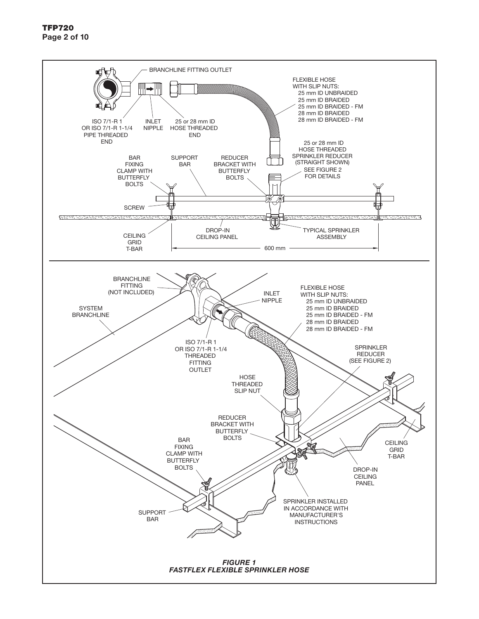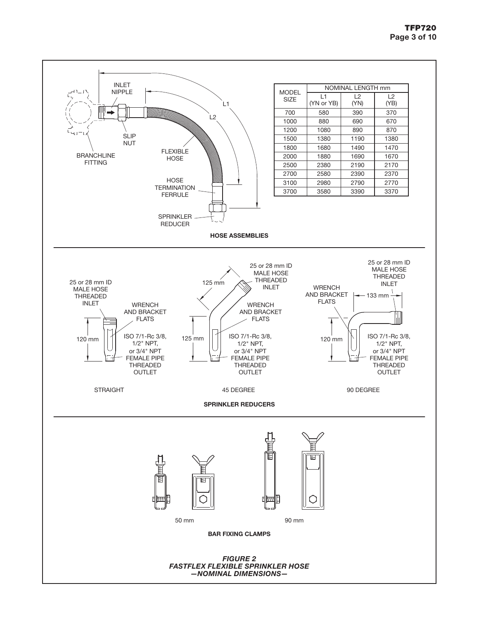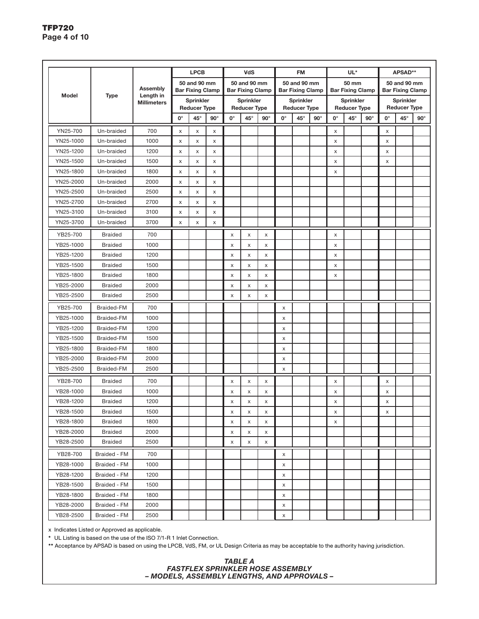|              |                   |                    |             | <b>LPCB</b>                                 |                |    | <b>VdS</b>                       |             |    | <b>FM</b>                               |            |    | UL*                                         |            | APSAD**                                     |                     |            |  |  |
|--------------|-------------------|--------------------|-------------|---------------------------------------------|----------------|----|----------------------------------|-------------|----|-----------------------------------------|------------|----|---------------------------------------------|------------|---------------------------------------------|---------------------|------------|--|--|
|              |                   | <b>Assembly</b>    |             | 50 and 90 mm                                |                |    | 50 and 90 mm                     |             |    | 50 and 90 mm                            |            |    | 50 mm                                       |            |                                             | 50 and 90 mm        |            |  |  |
| <b>Model</b> | <b>Type</b>       | Length in          |             | <b>Bar Fixing Clamp</b><br><b>Sprinkler</b> |                |    | <b>Bar Fixing Clamp</b>          |             |    | <b>Bar Fixing Clamp</b>                 |            |    | <b>Bar Fixing Clamp</b><br><b>Sprinkler</b> |            | <b>Bar Fixing Clamp</b><br><b>Sprinkler</b> |                     |            |  |  |
|              |                   | <b>Millimeters</b> |             | <b>Reducer Type</b>                         |                |    | Sprinkler<br><b>Reducer Type</b> |             |    | <b>Sprinkler</b><br><b>Reducer Type</b> |            |    | <b>Reducer Type</b>                         |            |                                             | <b>Reducer Type</b> |            |  |  |
|              |                   |                    | $0^{\circ}$ | $45^{\circ}$                                | $90^\circ$     | О° | 45°                              | $90^\circ$  | О° | $45^{\circ}$                            | $90^\circ$ | О° | $45^{\circ}$                                | $90^\circ$ | 0°                                          | 45°                 | $90^\circ$ |  |  |
| YN25-700     | Un-braided        | 700                | X           | X                                           | X              |    |                                  |             |    |                                         |            | x  |                                             |            | X                                           |                     |            |  |  |
| YN25-1000    | Un-braided        | 1000               | x           | X                                           | X              |    |                                  |             |    |                                         |            | X  |                                             |            | x                                           |                     |            |  |  |
| YN25-1200    | Un-braided        | 1200               | x           | X                                           | X              |    |                                  |             |    |                                         |            | X  |                                             |            | x                                           |                     |            |  |  |
| YN25-1500    | Un-braided        | 1500               | X           | $\pmb{\times}$                              | X              |    |                                  |             |    |                                         |            | X  |                                             |            | X                                           |                     |            |  |  |
| YN25-1800    | Un-braided        | 1800               | x           | X                                           | X              |    |                                  |             |    |                                         |            | X  |                                             |            |                                             |                     |            |  |  |
| YN25-2000    | Un-braided        | 2000               | X           | X                                           | X              |    |                                  |             |    |                                         |            |    |                                             |            |                                             |                     |            |  |  |
| YN25-2500    | Un-braided        | 2500               | X           | X                                           | X              |    |                                  |             |    |                                         |            |    |                                             |            |                                             |                     |            |  |  |
| YN25-2700    | Un-braided        | 2700               | x           | X                                           | X              |    |                                  |             |    |                                         |            |    |                                             |            |                                             |                     |            |  |  |
| YN25-3100    | Un-braided        | 3100               | x           | X                                           | $\pmb{\times}$ |    |                                  |             |    |                                         |            |    |                                             |            |                                             |                     |            |  |  |
| YN25-3700    | Un-braided        | 3700               | X           | X                                           | X              |    |                                  |             |    |                                         |            |    |                                             |            |                                             |                     |            |  |  |
| YB25-700     | <b>Braided</b>    | 700                |             |                                             |                | X  | X                                | X           |    |                                         |            | X  |                                             |            |                                             |                     |            |  |  |
| YB25-1000    | <b>Braided</b>    | 1000               |             |                                             |                | X  | X                                | X           |    |                                         |            | X  |                                             |            |                                             |                     |            |  |  |
| YB25-1200    | <b>Braided</b>    | 1200               |             |                                             |                | X  | X                                | X           |    |                                         |            | x  |                                             |            |                                             |                     |            |  |  |
| YB25-1500    | <b>Braided</b>    | 1500               |             |                                             |                | X  | X                                | X           |    |                                         |            | X  |                                             |            |                                             |                     |            |  |  |
| YB25-1800    | <b>Braided</b>    | 1800               |             |                                             |                | X  | X                                | $\mathsf X$ |    |                                         |            | X  |                                             |            |                                             |                     |            |  |  |
| YB25-2000    | <b>Braided</b>    | 2000               |             |                                             |                | X  | X                                | X           |    |                                         |            |    |                                             |            |                                             |                     |            |  |  |
| YB25-2500    | <b>Braided</b>    | 2500               |             |                                             |                | X  | X                                | $\mathsf X$ |    |                                         |            |    |                                             |            |                                             |                     |            |  |  |
| YB25-700     | Braided-FM        | 700                |             |                                             |                |    |                                  |             | X  |                                         |            |    |                                             |            |                                             |                     |            |  |  |
| YB25-1000    | <b>Braided-FM</b> | 1000               |             |                                             |                |    |                                  |             | X  |                                         |            |    |                                             |            |                                             |                     |            |  |  |
| YB25-1200    | Braided-FM        | 1200               |             |                                             |                |    |                                  |             | x  |                                         |            |    |                                             |            |                                             |                     |            |  |  |
| YB25-1500    | Braided-FM        | 1500               |             |                                             |                |    |                                  |             | X  |                                         |            |    |                                             |            |                                             |                     |            |  |  |
| YB25-1800    | Braided-FM        | 1800               |             |                                             |                |    |                                  |             | X  |                                         |            |    |                                             |            |                                             |                     |            |  |  |
| YB25-2000    | Braided-FM        | 2000               |             |                                             |                |    |                                  |             | X  |                                         |            |    |                                             |            |                                             |                     |            |  |  |
| YB25-2500    | Braided-FM        | 2500               |             |                                             |                |    |                                  |             | X  |                                         |            |    |                                             |            |                                             |                     |            |  |  |
| YB28-700     | <b>Braided</b>    | 700                |             |                                             |                | X  | x                                | X           |    |                                         |            | X  |                                             |            | X                                           |                     |            |  |  |
| YB28-1000    | <b>Braided</b>    | 1000               |             |                                             |                | X  | X                                | X           |    |                                         |            | X  |                                             |            | x                                           |                     |            |  |  |
| YB28-1200    | <b>Braided</b>    | 1200               |             |                                             |                | X  | X                                | X           |    |                                         |            | X  |                                             |            | X                                           |                     |            |  |  |
| YB28-1500    | <b>Braided</b>    | 1500               |             |                                             |                | x  | X                                | X           |    |                                         |            | x  |                                             |            | x                                           |                     |            |  |  |
| YB28-1800    | <b>Braided</b>    | 1800               |             |                                             |                | X  | X                                | X           |    |                                         |            | X  |                                             |            |                                             |                     |            |  |  |
| YB28-2000    | <b>Braided</b>    | 2000               |             |                                             |                | х  | х                                | х           |    |                                         |            |    |                                             |            |                                             |                     |            |  |  |
| YB28-2500    | <b>Braided</b>    | 2500               |             |                                             |                | х  | х                                | X           |    |                                         |            |    |                                             |            |                                             |                     |            |  |  |
| YB28-700     | Braided - FM      | 700                |             |                                             |                |    |                                  |             | X  |                                         |            |    |                                             |            |                                             |                     |            |  |  |
| YB28-1000    | Braided - FM      | 1000               |             |                                             |                |    |                                  |             | х  |                                         |            |    |                                             |            |                                             |                     |            |  |  |
| YB28-1200    | Braided - FM      | 1200               |             |                                             |                |    |                                  |             | X  |                                         |            |    |                                             |            |                                             |                     |            |  |  |
| YB28-1500    | Braided - FM      | 1500               |             |                                             |                |    |                                  |             | X  |                                         |            |    |                                             |            |                                             |                     |            |  |  |
| YB28-1800    | Braided - FM      | 1800               |             |                                             |                |    |                                  |             | X  |                                         |            |    |                                             |            |                                             |                     |            |  |  |
| YB28-2000    | Braided - FM      | 2000               |             |                                             |                |    |                                  |             | X  |                                         |            |    |                                             |            |                                             |                     |            |  |  |
| YB28-2500    | Braided - FM      | 2500               |             |                                             |                |    |                                  |             | X  |                                         |            |    |                                             |            |                                             |                     |            |  |  |

x Indicates Listed or Approved as applicable.

**\*** UL Listing is based on the use of the ISO 7/1-R 1 Inlet Connection.

**\*\*** Acceptance by APSAD is based on using the LPCB, VdS, FM, or UL Design Criteria as may be acceptable to the authority having jurisdiction.

### *table A fastflex sprinkler Hose assembly – models, assembly lengths, and approvals –*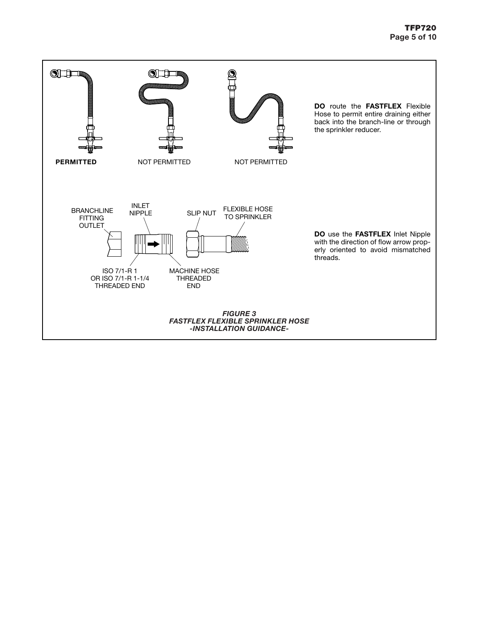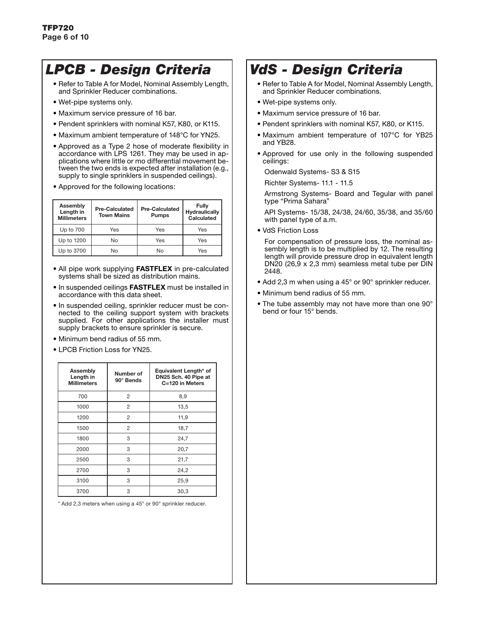# *LPCB - Design Criteria*

- Refer to Table A for Model, Nominal Assembly Length, and Sprinkler Reducer combinations.
- Wet-pipe systems only.
- Maximum service pressure of 16 bar.
- Pendent sprinklers with nominal K57, K80, or K115.
- Maximum ambient temperature of 148°C for YN25.
- Approved as a Type 2 hose of moderate flexibility in accordance with LPS 1261. They may be used in applications where little or mo differential movement between the two ends is expected after installation (e.g., supply to single sprinklers in suspended ceilings).
- Approved for the following locations:

| <b>Assembly</b><br>Length in<br><b>Millimeters</b> | <b>Pre-Calculated</b><br><b>Town Mains</b> | <b>Pre-Calculated</b><br><b>Pumps</b> | Fully<br><b>Hydraulically</b><br>Calculated |
|----------------------------------------------------|--------------------------------------------|---------------------------------------|---------------------------------------------|
| Up to 700                                          | Yes                                        | Yes                                   | Yes                                         |
| Up to 1200                                         | No                                         | Yes                                   | Yes                                         |
| Up to 3700                                         | N٥                                         | N٥                                    | Yes                                         |

- All pipe work supplying **FASTFLEX** in pre-calculated systems shall be sized as distribution mains.
- In suspended ceilings **FASTFLEX** must be installed in accordance with this data sheet.
- In suspended ceiling, sprinkler reducer must be connected to the ceiling support system with brackets supplied. For other applications the installer must supply brackets to ensure sprinkler is secure.
- Minimum bend radius of 55 mm.
- LPCB Friction Loss for YN25.

| <b>Assembly</b><br>Length in<br><b>Millimeters</b> | Number of<br>90° Bends | Equivalent Length* of<br>DN25 Sch. 40 Pipe at<br>C=120 in Meters |
|----------------------------------------------------|------------------------|------------------------------------------------------------------|
| 700                                                | $\overline{2}$         | 8,9                                                              |
| 1000                                               | 2                      | 13,5                                                             |
| 1200                                               | 2                      | 11,9                                                             |
| 1500                                               | 2                      | 18,7                                                             |
| 1800                                               | 3                      | 24,7                                                             |
| 2000                                               | 3                      | 20,7                                                             |
| 2500                                               | 3                      | 21,7                                                             |
| 2700                                               | 3                      | 24,2                                                             |
| 3100                                               | 3                      | 25,9                                                             |
| 3700                                               | 3                      | 30,3                                                             |

\* Add 2,3 meters when using a 45° or 90° sprinkler reducer.

# *VdS - Design Criteria*

- Refer to Table A for Model, Nominal Assembly Length, and Sprinkler Reducer combinations.
- Wet-pipe systems only.
- Maximum service pressure of 16 bar.
- Pendent sprinklers with nominal K57, K80, or K115.
- Maximum ambient temperature of 107°C for YB25 and YB28.
- Approved for use only in the following suspended ceilings:

Odenwald Systems- S3 & S15

Richter Systems- 11.1 - 11.5

 Armstrong Systems- Board and Tegular with panel type "Prima Sahara"

 API Systems- 15/38, 24/38, 24/60, 35/38, and 35/60 with panel type of a.m.

• VdS Friction Loss

 For compensation of pressure loss, the nominal assembly length is to be multiplied by 12. The resulting length will provide pressure drop in equivalent length DN20 (26,9 x 2,3 mm) seamless metal tube per DIN 2448.

- Add 2,3 m when using a 45° or 90° sprinkler reducer.
- Minimum bend radius of 55 mm.
- The tube assembly may not have more than one 90° bend or four 15° bends.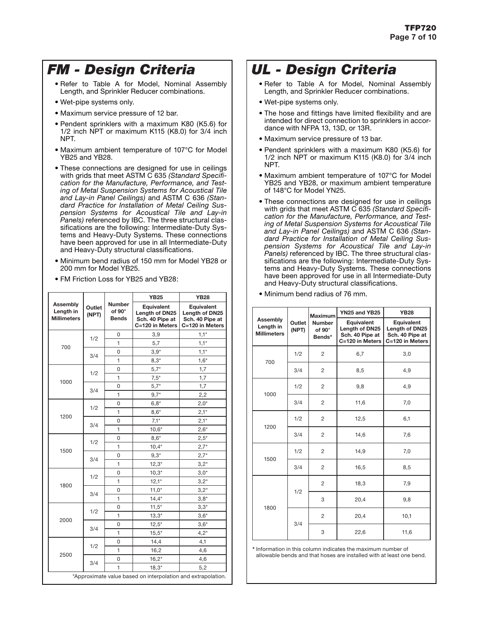# *FM - Design Criteria*

- Refer to Table A for Model, Nominal Assembly Length, and Sprinkler Reducer combinations.
- Wet-pipe systems only.
- Maximum service pressure of 12 bar.
- Pendent sprinklers with a maximum K80 (K5.6) for 1/2 inch NPT or maximum K115 (K8.0) for 3/4 inch NPT.
- Maximum ambient temperature of 107°C for Model YB25 and YB28.
- These connections are designed for use in ceilings with grids that meet ASTM C 635 *(Standard Specification for the Manufacture, Performance, and Testing of Metal Suspension Systems for Acoustical Tile and Lay-in Panel Ceilings)* and ASTM C 636 *(Standard Practice for Installation of Metal Ceiling Suspension Systems for Acoustical Tile and Lay-in Panels)* referenced by IBC. The three structural classifications are the following: Intermediate-Duty Systems and Heavy-Duty Systems. These connections have been approved for use in all Intermediate-Duty and Heavy-Duty structural classifications.
- Minimum bend radius of 150 mm for Model YB28 or 200 mm for Model YB25.
- FM Friction Loss for YB25 and YB28:

|                                                    |                 |                                                | <b>YB25</b>                                                        | <b>YB28</b>                                                        |  |  |  |
|----------------------------------------------------|-----------------|------------------------------------------------|--------------------------------------------------------------------|--------------------------------------------------------------------|--|--|--|
| <b>Assembly</b><br>Length in<br><b>Millimeters</b> | Outlet<br>(NPT) | <b>Number</b><br>of $90^\circ$<br><b>Bends</b> | Equivalent<br>Length of DN25<br>Sch. 40 Pipe at<br>C=120 in Meters | Equivalent<br>Length of DN25<br>Sch. 40 Pipe at<br>C=120 in Meters |  |  |  |
|                                                    | 1/2             | 0                                              | 3,9                                                                | $1,1*$                                                             |  |  |  |
| 700                                                |                 | 1                                              | 5,7                                                                | $1,1*$                                                             |  |  |  |
|                                                    | 3/4             | 0                                              | $3.9*$                                                             | $1,1*$                                                             |  |  |  |
|                                                    |                 | 1                                              | $8,3*$                                                             | $1,6*$                                                             |  |  |  |
|                                                    | 1/2             | 0                                              | $5,7*$                                                             | 1,7                                                                |  |  |  |
| 1000                                               |                 | 1                                              | $7,5*$                                                             | 1,7                                                                |  |  |  |
|                                                    | 3/4             | 0                                              | $5,7*$                                                             | 1,7                                                                |  |  |  |
|                                                    |                 | 1                                              | $9,7*$                                                             | 2,2                                                                |  |  |  |
|                                                    |                 | 0                                              | $6,8*$                                                             | $2,0*$                                                             |  |  |  |
| 1200                                               | 1/2             | 1                                              | $8,6*$                                                             | $2,1*$                                                             |  |  |  |
|                                                    | 3/4             | 0                                              | $7,1*$                                                             | $2,1*$                                                             |  |  |  |
|                                                    |                 | 1                                              | $10,6*$                                                            | $2,6*$                                                             |  |  |  |
|                                                    | 1/2             | 0                                              | $8,6*$                                                             | $2,5*$                                                             |  |  |  |
|                                                    |                 | 1                                              | $10,4*$                                                            | $2,7*$                                                             |  |  |  |
| 1500                                               | 3/4             | 0                                              | $9,3*$                                                             | $2,7*$                                                             |  |  |  |
|                                                    |                 | 1                                              | $12,3*$                                                            | $3,2*$                                                             |  |  |  |
|                                                    | 1/2             | 0                                              | $10,3*$                                                            | $3,0^*$                                                            |  |  |  |
|                                                    |                 | 1                                              | $12,1*$                                                            | $3,2*$                                                             |  |  |  |
| 1800                                               | 3/4             | 0                                              | $11,0*$                                                            | $3,2^{*}$                                                          |  |  |  |
|                                                    |                 | 1                                              | $14,4*$                                                            | $3,8*$                                                             |  |  |  |
|                                                    | 1/2             | 0                                              | $11,5*$                                                            | $3,3*$                                                             |  |  |  |
|                                                    |                 | 1                                              | $13,3*$                                                            | $3,6*$                                                             |  |  |  |
| 2000                                               | 3/4             | 0                                              | $12,5*$                                                            | $3,6*$                                                             |  |  |  |
|                                                    |                 | 1                                              | $15,5*$                                                            | $4,2*$                                                             |  |  |  |
|                                                    | 1/2             | 0                                              | 14,4                                                               | 4,1                                                                |  |  |  |
| 2500                                               |                 | 1                                              | 16,2                                                               | 4,6                                                                |  |  |  |
|                                                    | 3/4             | 0                                              | $16,2*$                                                            | 4,6                                                                |  |  |  |
|                                                    |                 | 1                                              | $18,3*$                                                            | 5,2                                                                |  |  |  |
|                                                    |                 |                                                | *Approximate value based on interpolation and extrapolation.       |                                                                    |  |  |  |

# *UL - Design Criteria*

- Refer to Table A for Model, Nominal Assembly Length, and Sprinkler Reducer combinations.
- Wet-pipe systems only.
- The hose and fittings have limited flexibility and are intended for direct connection to sprinklers in accordance with NFPA 13, 13D, or 13R.
- Maximum service pressure of 13 bar.
- Pendent sprinklers with a maximum K80 (K5.6) for 1/2 inch NPT or maximum K115 (K8.0) for 3/4 inch NPT.
- Maximum ambient temperature of 107°C for Model YB25 and YB28, or maximum ambient temperature of 148°C for Model YN25.
- These connections are designed for use in ceilings with grids that meet ASTM C 635 *(Standard Specification for the Manufacture, Performance, and Testing of Metal Suspension Systems for Acoustical Tile and Lay-in Panel Ceilings)* and ASTM C 636 *(Standard Practice for Installation of Metal Ceiling Suspension Systems for Acoustical Tile and Lay-in Panels)* referenced by IBC. The three structural classifications are the following: Intermediate-Duty Systems and Heavy-Duty Systems. These connections have been approved for use in all Intermediate-Duty and Heavy-Duty structural classifications.

|                                             |                 | <b>Maximum</b>                    | YN25 and YB25                                                             | <b>YB28</b>                                                        |
|---------------------------------------------|-----------------|-----------------------------------|---------------------------------------------------------------------------|--------------------------------------------------------------------|
| Assembly<br>Length in<br><b>Millimeters</b> | Outlet<br>(NPT) | <b>Number</b><br>of 90°<br>Bends* | <b>Equivalent</b><br>Length of DN25<br>Sch. 40 Pipe at<br>C=120 in Meters | Equivalent<br>Length of DN25<br>Sch. 40 Pipe at<br>C=120 in Meters |
| 700                                         | 1/2             | $\overline{2}$                    | 6,7                                                                       | 3,0                                                                |
|                                             | 3/4             | $\overline{c}$                    | 8,5                                                                       | 4,9                                                                |
|                                             | 1/2             | $\overline{2}$                    | 9,8                                                                       | 4,9                                                                |
| 1000                                        | 3/4             | 2                                 | 11,6                                                                      | 7,0                                                                |
|                                             | 1/2             | 2                                 | 12,5                                                                      | 6,1                                                                |
| 1200                                        | 3/4             | $\overline{2}$                    | 14,6                                                                      | 7,6                                                                |
|                                             | 1/2             | $\overline{2}$                    | 14,9                                                                      | 7,0                                                                |
| 1500                                        | 3/4             | $\overline{2}$                    | 16,5                                                                      | 8,5                                                                |
|                                             |                 | $\overline{2}$                    | 18,3                                                                      | 7,9                                                                |
|                                             | 1/2             | 3                                 | 20,4                                                                      | 9,8                                                                |
| 1800                                        |                 | $\overline{2}$                    | 20,4                                                                      | 10,1                                                               |
|                                             | 3/4             | 3                                 | 22,6                                                                      | 11,6                                                               |

• Minimum bend radius of 76 mm.

**\*** Information in this column indicates the maximum number of allowable bends and that hoses are installed with at least one bend.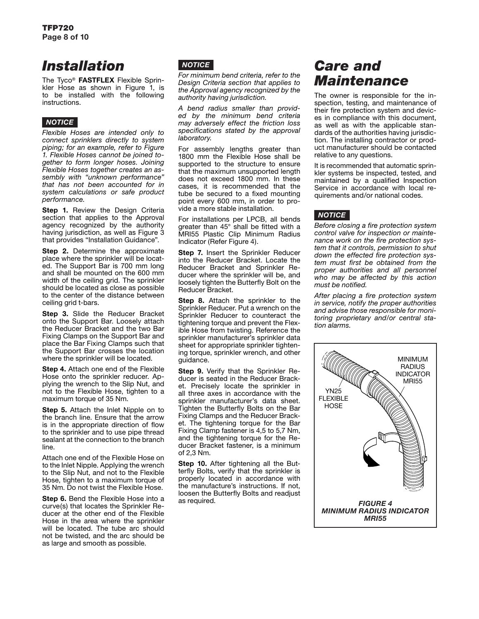# *Installation*

The Tyco® **FASTFLEX** Flexible Sprinkler Hose as shown in Figure 1, is to be installed with the following instructions.

# *notice*

*Flexible Hoses are intended only to connect sprinklers directly to system piping; for an example, refer to Figure 1. Flexible Hoses cannot be joined together to form longer hoses. Joining Flexible Hoses together creates an assembly with "unknown performance" that has not been accounted for in system calculations or safe product performance.*

**Step 1.** Review the Design Criteria section that applies to the Approval agency recognized by the authority having jurisdiction, as well as Figure 3 that provides "Installation Guidance".

**Step 2.** Determine the approximate place where the sprinkler will be located. The Support Bar is 700 mm long and shall be mounted on the 600 mm width of the ceiling grid. The sprinkler should be located as close as possible to the center of the distance between ceiling grid t-bars.

**Step 3.** Slide the Reducer Bracket onto the Support Bar. Loosely attach the Reducer Bracket and the two Bar Fixing Clamps on the Support Bar and place the Bar Fixing Clamps such that the Support Bar crosses the location where the sprinkler will be located.

**Step 4.** Attach one end of the Flexible Hose onto the sprinkler reducer. Applying the wrench to the Slip Nut, and not to the Flexible Hose, tighten to a maximum torque of 35 Nm.

**Step 5.** Attach the Inlet Nipple on to the branch line. Ensure that the arrow is in the appropriate direction of flow to the sprinkler and to use pipe thread sealant at the connection to the branch line.

Attach one end of the Flexible Hose on to the Inlet Nipple. Applying the wrench to the Slip Nut, and not to the Flexible Hose, tighten to a maximum torque of 35 Nm. Do not twist the Flexible Hose.

**Step 6.** Bend the Flexible Hose into a curve(s) that locates the Sprinkler Reducer at the other end of the Flexible Hose in the area where the sprinkler will be located. The tube arc should not be twisted, and the arc should be as large and smooth as possible.

# *notice*

*For minimum bend criteria, refer to the Design Criteria section that applies to the Approval agency recognized by the authority having jurisdiction.*

*A bend radius smaller than provided by the minimum bend criteria may adversely effect the friction loss specifications stated by the approval laboratory.* 

For assembly lengths greater than 1800 mm the Flexible Hose shall be supported to the structure to ensure that the maximum unsupported length does not exceed 1800 mm. In these cases, it is recommended that the tube be secured to a fixed mounting point every 600 mm, in order to provide a more stable installation.

For installations per LPCB, all bends greater than 45° shall be fitted with a MRI55 Plastic Clip Minimum Radius Indicator (Refer Figure 4).

**Step 7.** Insert the Sprinkler Reducer into the Reducer Bracket. Locate the Reducer Bracket and Sprinkler Reducer where the sprinkler will be, and loosely tighten the Butterfly Bolt on the Reducer Bracket.

**Step 8.** Attach the sprinkler to the Sprinkler Reducer. Put a wrench on the Sprinkler Reducer to counteract the tightening torque and prevent the Flexible Hose from twisting. Reference the sprinkler manufacturer's sprinkler data sheet for appropriate sprinkler tightening torque, sprinkler wrench, and other guidance.

**Step 9.** Verify that the Sprinkler Reducer is seated in the Reducer Bracket. Precisely locate the sprinkler in all three axes in accordance with the sprinkler manufacturer's data sheet. Tighten the Butterfly Bolts on the Bar Fixing Clamps and the Reducer Bracket. The tightening torque for the Bar Fixing Clamp fastener is 4,5 to 5,7 Nm, and the tightening torque for the Reducer Bracket fastener, is a minimum of 2,3 Nm.

**Step 10.** After tightening all the Butterfly Bolts, verify that the sprinkler is properly located in accordance with the manufacture's instructions. If not, loosen the Butterfly Bolts and readjust as required.

# *Care and Maintenance*

The owner is responsible for the inspection, testing, and maintenance of their fire protection system and devices in compliance with this document, as well as with the applicable standards of the authorities having jurisdiction. The installing contractor or product manufacturer should be contacted relative to any questions.

It is recommended that automatic sprinkler systems be inspected, tested, and maintained by a qualified Inspection Service in accordance with local requirements and/or national codes.

# *notice*

*Before closing a fire protection system control valve for inspection or maintenance work on the fire protection system that it controls, permission to shut down the effected fire protection system must first be obtained from the proper authorities and all personnel who may be affected by this action must be notified.* 

*After placing a fire protection system in service, notify the proper authorities and advise those responsible for monitoring proprietary and/or central station alarms.*

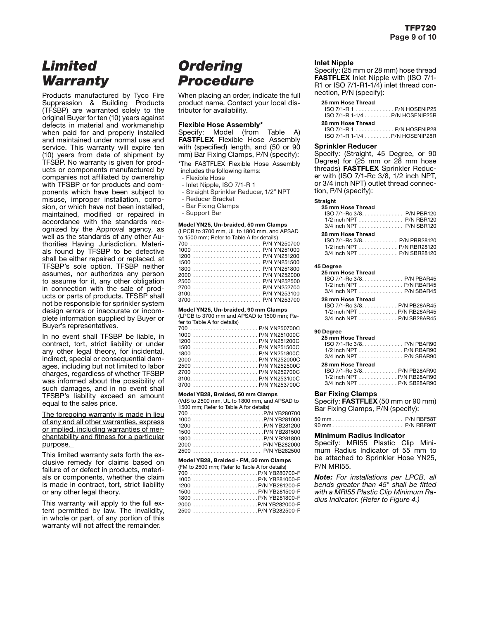# *Limited Warranty*

Products manufactured by Tyco Fire Suppression & Building Products (TFSBP) are warranted solely to the original Buyer for ten (10) years against defects in material and workmanship when paid for and properly installed and maintained under normal use and service. This warranty will expire ten (10) years from date of shipment by TFSBP. No warranty is given for products or components manufactured by companies not affiliated by ownership with TFSBP or for products and components which have been subject to misuse, improper installation, corrosion, or which have not been installed, maintained, modified or repaired in accordance with the standards recognized by the Approval agency, as well as the standards of any other Authorities Having Jurisdiction. Materials found by TFSBP to be defective shall be either repaired or replaced, at TFSBP's sole option. TFSBP neither assumes, nor authorizes any person to assume for it, any other obligation in connection with the sale of products or parts of products. TFSBP shall not be responsible for sprinkler system design errors or inaccurate or incomplete information supplied by Buyer or Buyer's representatives.

In no event shall TFSBP be liable, in contract, tort, strict liability or under any other legal theory, for incidental, indirect, special or consequential damages, including but not limited to labor charges, regardless of whether TFSBP was informed about the possibility of such damages, and in no event shall TFSBP's liability exceed an amount equal to the sales price.

### The foregoing warranty is made in lieu of any and all other warranties, express or implied, including warranties of merchantability and fitness for a particular purpose.

This limited warranty sets forth the exclusive remedy for claims based on failure of or defect in products, materials or components, whether the claim is made in contract, tort, strict liability or any other legal theory.

This warranty will apply to the full extent permitted by law. The invalidity, in whole or part, of any portion of this warranty will not affect the remainder.

# *Ordering Procedure*

When placing an order, indicate the full product name. Contact your local distributor for availability.

### **Flexible Hose Assembly\***

Specify: Model (from Table A) **FASTFLEX** Flexible Hose Assembly with (specified) length, and (50 or 90 mm) Bar Fixing Clamps, P/N (specify):

\*The FASTFLEX Flexible Hose Assembly includes the following items:

- Flexible Hose
- Inlet Nipple, ISO 7/1-R 1
- Straight Sprinkler Reducer, 1/2" NPT
- Reducer Bracket
- Bar Fixing Clamps
- Support Bar

### **Model YN25, Un-braided, 50 mm Clamps**

(LPCB to 3700 mm, UL to 1800 mm, and APSAD to 1500 mm; Refer to Table A for details)

|  |  |  |  |  |  |  |  |  |  |  | $1000 P/N YN251000$ |
|--|--|--|--|--|--|--|--|--|--|--|---------------------|
|  |  |  |  |  |  |  |  |  |  |  |                     |
|  |  |  |  |  |  |  |  |  |  |  | $1500$ P/N YN251500 |
|  |  |  |  |  |  |  |  |  |  |  |                     |
|  |  |  |  |  |  |  |  |  |  |  |                     |
|  |  |  |  |  |  |  |  |  |  |  |                     |
|  |  |  |  |  |  |  |  |  |  |  |                     |
|  |  |  |  |  |  |  |  |  |  |  |                     |
|  |  |  |  |  |  |  |  |  |  |  |                     |

**Model YN25, Un-braided, 90 mm Clamps**

(LPCB to 3700 mm and APSAD to 1500 mm; Refer to Table A for details)

| 700 P/N YN250700C    |  |
|----------------------|--|
|                      |  |
|                      |  |
|                      |  |
|                      |  |
|                      |  |
|                      |  |
|                      |  |
| $3100$ P/N YN253100C |  |
| $3700$ P/N YN253700C |  |

**Model YB28, Braided, 50 mm Clamps** 

(VdS to 2500 mm, UL to 1800 mm, and APSAD to 1500 mm; Refer to Table A for details)

| 700 P/N YB280700 |  |
|------------------|--|
|                  |  |
|                  |  |
|                  |  |
|                  |  |
|                  |  |
|                  |  |

#### **Model YB28, Braided - FM, 50 mm Clamps**

|  |  | (FM to 2500 mm; Refer to Table A for details) |  |
|--|--|-----------------------------------------------|--|
|--|--|-----------------------------------------------|--|

| $1200$ P/N YB281200-F |  |
|-----------------------|--|
|                       |  |
|                       |  |
| $2000$ P/N YB282000-F |  |
| $2500$ P/N YB282500-F |  |

### **Inlet Nipple**

Specify: (25 mm or 28 mm) hose thread **FASTFLEX** Inlet Nipple with (ISO 7/1- R1 or ISO 7/1-R1-1/4) inlet thread connection, P/N (specify):

| 25 mm Hose Thread                  |  |
|------------------------------------|--|
| $ISO 7/1-R 1    P/N HOSENIP25$     |  |
| $ISO 7/1-R 1-1/4   P/N HOSENIP25R$ |  |
| 28 mm Hose Thread                  |  |
| $ISO 7/1-R1$ P/N HOSENIP28         |  |
| ISO 7/1-R 1-1/4 P/N HOSENIP28R     |  |

### **Sprinkler Reducer**

Specify: (Straight, 45 Degree, or 90 Degree) for (25 mm or 28 mm hose threads) **FASTFLEX** Sprinkler Reducer with (ISO 7/1-Rc 3/8, 1/2 inch NPT, or 3/4 inch NPT) outlet thread connection, P/N (specify):

#### **Straight**

| 25 mm Hose Thread                                       |  |
|---------------------------------------------------------|--|
|                                                         |  |
| 1/2 inch NPT $\ldots \ldots \ldots \ldots$ P/N RBR120   |  |
| $3/4$ inch NPT $\ldots \ldots \ldots \ldots$ P/N SBR120 |  |

#### **28 mm Hose Thread**

| $ISO 7/1-RC 3/8$ P/N PBR28120                      |  |
|----------------------------------------------------|--|
| $1/2$ inch NPT $\ldots \ldots \ldots$ P/N RBR28120 |  |
| $3/4$ inch NPT $\ldots \ldots \ldots$ P/N SBR28120 |  |

### **45 Degree**

| 25 mm Hose Thread                                                   |  |
|---------------------------------------------------------------------|--|
| ISO 7/1-Rc 3/8. P/N PBAR45                                          |  |
| $1/2$ inch NPT $\ldots \ldots \ldots \ldots$ . P/N RBAR45           |  |
| $3/4$ inch NPT $\ldots$ , $\ldots$ , $\ldots$ , $\ldots$ P/N SBAR45 |  |
| 28 mm Hose Thread                                                   |  |
| ISO 7/1-Rc 3/8. P/N PB28AR45                                        |  |
| $1/2$ inch NPT $\ldots \ldots \ldots \ldots$ P/N RB28AR45           |  |
| 3/4 inch NPT P/N SR28AR45                                           |  |

#### **90 Degree**

| 25 mm Hose Thread                                         |  |
|-----------------------------------------------------------|--|
| ISO 7/1-Rc 3/8P/N PBAR90                                  |  |
| $1/2$ inch NPT $\ldots \ldots \ldots \ldots$ . P/N RBAR90 |  |
| $3/4$ inch NPT $\ldots \ldots \ldots \ldots$ P/N SBAR90   |  |
|                                                           |  |
| 28 mm Hose Thread                                         |  |
| ISO 7/1-Rc 3/8. P/N PB28AR90                              |  |
| $1/2$ inch NPT $\ldots \ldots \ldots \ldots$ P/N RB28AR90 |  |

### **Bar Fixing Clamps**

Specify: **FASTFLEX** (50 mm or 90 mm) Bar Fixing Clamps, P/N (specify):

#### **Minimum Radius Indicator**

Specify: MRI55 Plastic Clip Minimum Radius Indicator of 55 mm to be attached to Sprinkler Hose YN25, P/N MRI55.

*Note: For installations per LPCB, all bends greater than 45° shall be fitted with a MRI55 Plastic Clip Minimum Radius Indicator. (Refer to Figure 4.)*